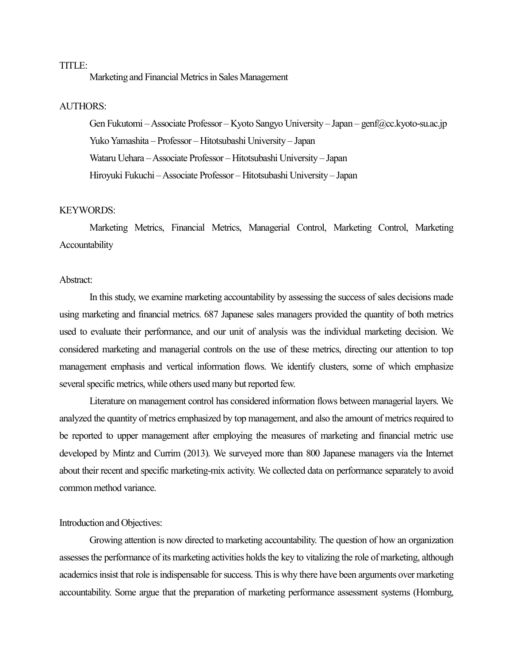# TITLE:

Marketing and Financial Metrics in Sales Management

## AUTHORS:

Gen Fukutomi –Associate Professor – Kyoto Sangyo University – Japan – genf@cc.kyoto-su.ac.jp Yuko Yamashita – Professor – Hitotsubashi University – Japan Wataru Uehara –Associate Professor – Hitotsubashi University – Japan Hiroyuki Fukuchi –Associate Professor – Hitotsubashi University – Japan

### KEYWORDS:

Marketing Metrics, Financial Metrics, Managerial Control, Marketing Control, Marketing Accountability

## Abstract:

In this study, we examine marketing accountability by assessing the success of sales decisions made using marketing and financial metrics. 687 Japanese sales managers provided the quantity of both metrics used to evaluate their performance, and our unit of analysis was the individual marketing decision. We considered marketing and managerial controls on the use of these metrics, directing our attention to top management emphasis and vertical information flows. We identify clusters, some of which emphasize several specific metrics, while others used many but reported few.

Literature on management control has considered information flows between managerial layers. We analyzed the quantity of metrics emphasized by top management, and also the amount of metrics required to be reported to upper management after employing the measures of marketing and financial metric use developed by Mintz and Currim (2013). We surveyed more than 800 Japanese managers via the Internet about their recent and specific marketing-mix activity. We collected data on performance separately to avoid common method variance.

## Introduction and Objectives:

Growing attention is now directed to marketing accountability. The question of how an organization assessesthe performance of its marketing activities holds the key to vitalizing the role of marketing, although academics insist that role is indispensable for success. This is why there have been arguments over marketing accountability. Some argue that the preparation of marketing performance assessment systems (Homburg,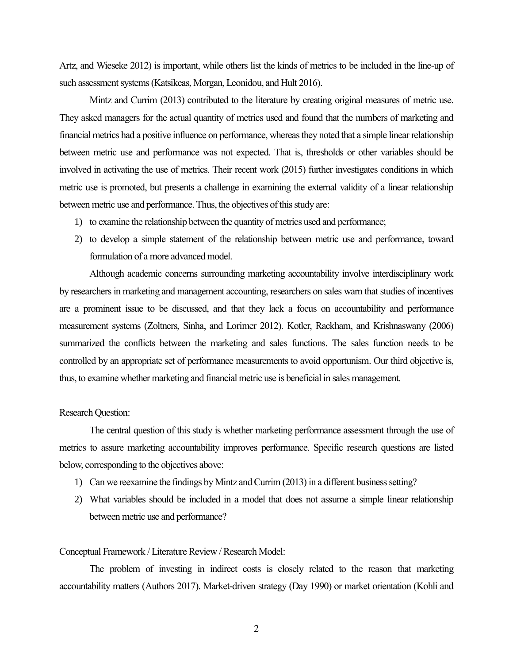Artz, and Wieseke 2012) is important, while others list the kinds of metrics to be included in the line-up of such assessment systems (Katsikeas, Morgan, Leonidou, and Hult 2016).

Mintz and Currim (2013) contributed to the literature by creating original measures of metric use. They asked managers for the actual quantity of metrics used and found that the numbers of marketing and financial metrics had a positive influence on performance, whereas they noted that a simple linear relationship between metric use and performance was not expected. That is, thresholds or other variables should be involved in activating the use of metrics. Their recent work (2015) further investigates conditions in which metric use is promoted, but presents a challenge in examining the external validity of a linear relationship between metric use and performance.Thus, the objectives of this study are:

- 1) to examine the relationship between the quantity of metrics used and performance;
- 2) to develop a simple statement of the relationship between metric use and performance, toward formulation of a more advanced model.

Although academic concerns surrounding marketing accountability involve interdisciplinary work by researchers in marketing and management accounting, researchers on sales warn that studies of incentives are a prominent issue to be discussed, and that they lack a focus on accountability and performance measurement systems (Zoltners, Sinha, and Lorimer 2012). Kotler, Rackham, and Krishnaswany (2006) summarized the conflicts between the marketing and sales functions. The sales function needs to be controlled by an appropriate set of performance measurements to avoid opportunism. Our third objective is, thus, to examine whether marketing and financial metric use is beneficial in sales management.

## Research Question:

The central question of this study is whether marketing performance assessment through the use of metrics to assure marketing accountability improves performance. Specific research questions are listed below, corresponding to the objectives above:

- 1) Can we reexamine the findings by Mintz and Currim (2013) in a different business setting?
- 2) What variables should be included in a model that does not assume a simple linear relationship between metric use and performance?

## Conceptual Framework / Literature Review / Research Model:

The problem of investing in indirect costs is closely related to the reason that marketing accountability matters (Authors 2017). Market-driven strategy (Day 1990) or market orientation (Kohli and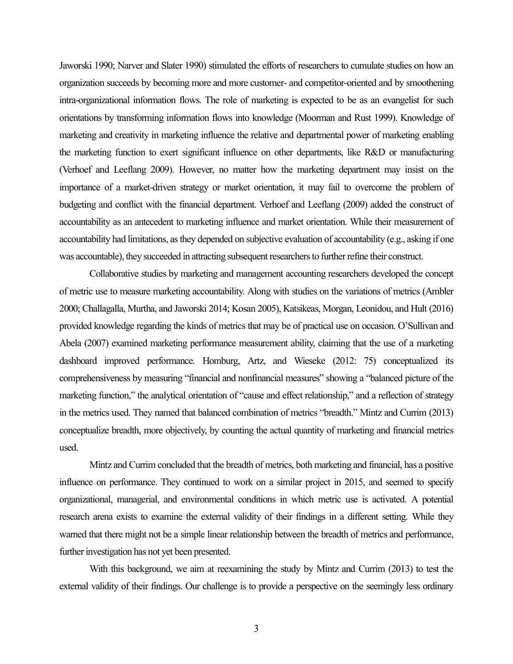Jaworski 1990; Narver and Slater 1990) stimulated the efforts of researchers to cumulate studies on how an organization succeeds by becoming more and more customer- and competitor-oriented and by smoothening intra-organizational information flows. The role of marketing is expected to be as an evangelist for such orientations by transforming information flows into knowledge (Moorman and Rust 1999). Knowledge of marketing and creativity in marketing influence the relative and departmental power of marketing enabling the marketing function to exert significant influence on other departments, like R&D or manufacturing (Verhoef and Leeflang 2009). However, no matter how the marketing department may insist on the importance of a market-driven strategy or market orientation, it may fail to overcome the problem of budgeting and conflict with the financial department. Verhoef and Leeflang (2009) added the construct of accountability as an antecedent to marketing influence and market orientation. While their measurement of accountability had limitations, as they depended on subjective evaluation of accountability (e.g., asking if one was accountable), they succeeded in attracting subsequent researchers to further refine their construct.

Collaborative studies by marketing and management accounting researchers developed the concept of metric use to measure marketing accountability. Along with studies on the variations of metrics (Ambler 2000; Challagalla, Murtha, and Jaworski 2014; Kosan 2005), Katsikeas, Morgan, Leonidou, and Hult (2016) provided knowledge regarding the kinds of metrics that may be of practical use on occasion. O'Sullivan and Abela (2007) examined marketing performance measurement ability, claiming that the use of a marketing dashboard improved performance. Homburg, Artz, and Wieseke (2012: 75) conceptualized its comprehensiveness by measuring "financial and nonfinancial measures" showing a "balanced picture of the marketing function," the analytical orientation of "cause and effect relationship," and a reflection of strategy in the metrics used. They named that balanced combination of metrics "breadth." Mintz and Currim (2013) conceptualize breadth, more objectively, by counting the actual quantity of marketing and financial metrics used.

Mintz and Currim concluded that the breadth of metrics, both marketing and financial, has a positive influence on performance. They continued to work on a similar project in 2015, and seemed to specify organizational, managerial, and environmental conditions in which metric use is activated. A potential research arena exists to examine the external validity of their findings in a different setting. While they warned that there might not be a simple linear relationship between the breadth of metrics and performance, further investigation has not yet been presented.

With this background, we aim at reexamining the study by Mintz and Currim (2013) to test the external validity of their findings. Our challenge is to provide a perspective on the seemingly less ordinary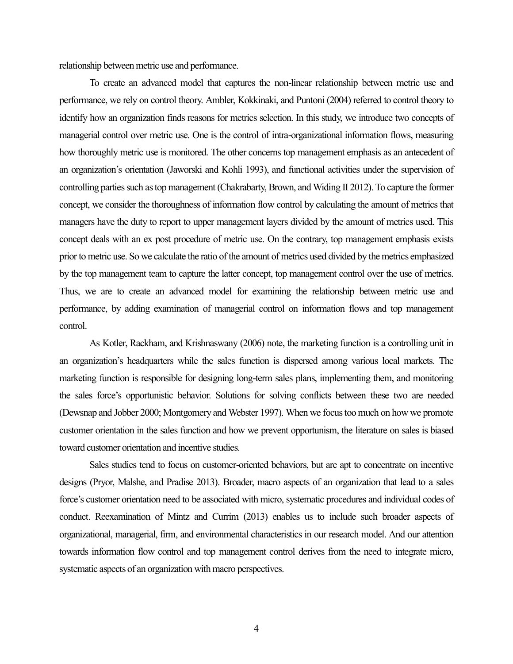relationship between metric use and performance.

To create an advanced model that captures the non-linear relationship between metric use and performance, we rely on control theory. Ambler, Kokkinaki, and Puntoni (2004) referred to control theory to identify how an organization finds reasons for metrics selection. In this study, we introduce two concepts of managerial control over metric use. One is the control of intra-organizational information flows, measuring how thoroughly metric use is monitored. The other concerns top management emphasis as an antecedent of an organization's orientation (Jaworski and Kohli 1993), and functional activities under the supervision of controlling parties such as top management (Chakrabarty, Brown, and Widing II 2012). To capture the former concept, we consider the thoroughness of information flow control by calculating the amount of metrics that managers have the duty to report to upper management layers divided by the amount of metrics used. This concept deals with an ex post procedure of metric use. On the contrary, top management emphasis exists prior to metric use. So we calculate the ratio of the amount of metrics used divided by the metrics emphasized by the top management team to capture the latter concept, top management control over the use of metrics. Thus, we are to create an advanced model for examining the relationship between metric use and performance, by adding examination of managerial control on information flows and top management control.

As Kotler, Rackham, and Krishnaswany (2006) note, the marketing function is a controlling unit in an organization's headquarters while the sales function is dispersed among various local markets. The marketing function is responsible for designing long-term sales plans, implementing them, and monitoring the sales force's opportunistic behavior. Solutions for solving conflicts between these two are needed (Dewsnap and Jobber 2000; Montgomery and Webster 1997). When we focus too much on how we promote customer orientation in the sales function and how we prevent opportunism, the literature on sales is biased toward customer orientation and incentive studies.

Sales studies tend to focus on customer-oriented behaviors, but are apt to concentrate on incentive designs (Pryor, Malshe, and Pradise 2013). Broader, macro aspects of an organization that lead to a sales force's customer orientation need to be associated with micro, systematic procedures and individual codes of conduct. Reexamination of Mintz and Currim (2013) enables us to include such broader aspects of organizational, managerial, firm, and environmental characteristics in our research model. And our attention towards information flow control and top management control derives from the need to integrate micro, systematic aspects of an organization with macro perspectives.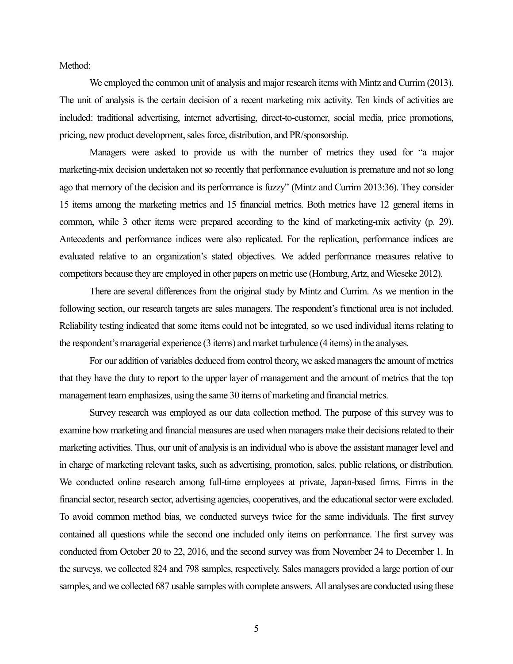Method:

We employed the common unit of analysis and major research items with Mintz and Currim (2013). The unit of analysis is the certain decision of a recent marketing mix activity. Ten kinds of activities are included: traditional advertising, internet advertising, direct-to-customer, social media, price promotions, pricing, new product development, sales force, distribution, and PR/sponsorship.

Managers were asked to provide us with the number of metrics they used for "a major marketing-mix decision undertaken not so recently that performance evaluation is premature and not so long ago that memory of the decision and its performance is fuzzy" (Mintz and Currim 2013:36). They consider 15 items among the marketing metrics and 15 financial metrics. Both metrics have 12 general items in common, while 3 other items were prepared according to the kind of marketing-mix activity (p. 29). Antecedents and performance indices were also replicated. For the replication, performance indices are evaluated relative to an organization's stated objectives. We added performance measures relative to competitors because they are employed in other papers on metric use (Homburg, Artz, and Wieseke 2012).

There are several differences from the original study by Mintz and Currim. As we mention in the following section, our research targets are sales managers. The respondent's functional area is not included. Reliability testing indicated that some items could not be integrated, so we used individual items relating to the respondent's managerial experience (3 items) and market turbulence (4 items) in the analyses.

For our addition of variables deduced from control theory, we asked managers the amount of metrics that they have the duty to report to the upper layer of management and the amount of metrics that the top management team emphasizes, using the same 30 items of marketing and financial metrics.

Survey research was employed as our data collection method. The purpose of this survey was to examine how marketing and financial measures are used when managers make their decisions related to their marketing activities. Thus, our unit of analysis is an individual who is above the assistant manager level and in charge of marketing relevant tasks, such as advertising, promotion, sales, public relations, or distribution. We conducted online research among full-time employees at private, Japan-based firms. Firms in the financial sector, research sector, advertising agencies, cooperatives, and the educational sector were excluded. To avoid common method bias, we conducted surveys twice for the same individuals. The first survey contained all questions while the second one included only items on performance. The first survey was conducted from October 20 to 22, 2016, and the second survey was from November 24 to December 1. In the surveys, we collected 824 and 798 samples, respectively. Sales managers provided a large portion of our samples, and we collected 687 usable samples with complete answers. All analyses are conducted using these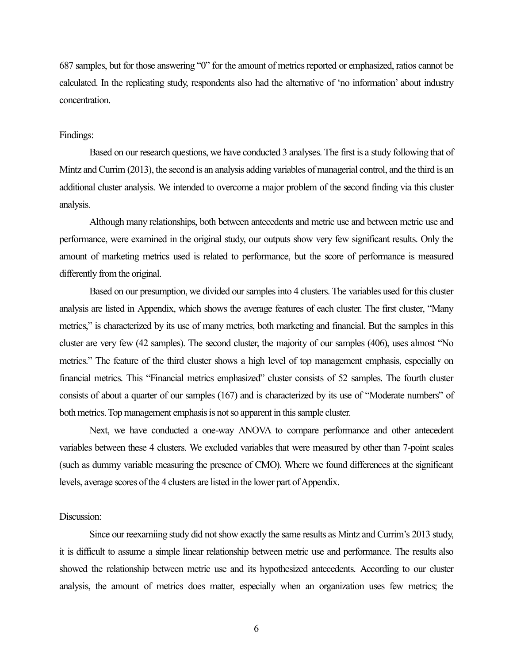687 samples, but for those answering "0" for the amount of metrics reported or emphasized, ratios cannot be calculated. In the replicating study, respondents also had the alternative of 'no information' about industry concentration.

## Findings:

Based on our research questions, we have conducted 3 analyses. The first is a study following that of Mintz and Currim (2013), the second is an analysis adding variables of managerial control, and the third is an additional cluster analysis. We intended to overcome a major problem of the second finding via this cluster analysis.

Although many relationships, both between antecedents and metric use and between metric use and performance, were examined in the original study, our outputs show very few significant results. Only the amount of marketing metrics used is related to performance, but the score of performance is measured differently from the original.

Based on our presumption, we divided our samples into 4 clusters. The variables used for this cluster analysis are listed in Appendix, which shows the average features of each cluster. The first cluster, "Many metrics," is characterized by its use of many metrics, both marketing and financial. But the samples in this cluster are very few (42 samples). The second cluster, the majority of our samples (406), uses almost "No metrics." The feature of the third cluster shows a high level of top management emphasis, especially on financial metrics. This "Financial metrics emphasized" cluster consists of 52 samples. The fourth cluster consists of about a quarter of our samples (167) and is characterized by its use of "Moderate numbers" of both metrics. Top management emphasis is not so apparent in this sample cluster.

Next, we have conducted a one-way ANOVA to compare performance and other antecedent variables between these 4 clusters. We excluded variables that were measured by other than 7-point scales (such as dummy variable measuring the presence of CMO). Where we found differences at the significant levels, average scores of the 4 clusters are listed in the lower part of Appendix.

# Discussion:

Since our reexamiing study did not show exactly the same results as Mintz and Currim's 2013 study, it is difficult to assume a simple linear relationship between metric use and performance. The results also showed the relationship between metric use and its hypothesized antecedents. According to our cluster analysis, the amount of metrics does matter, especially when an organization uses few metrics; the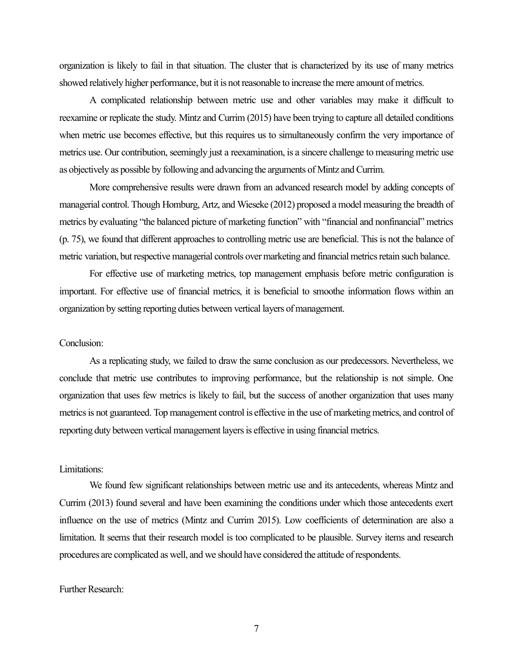organization is likely to fail in that situation. The cluster that is characterized by its use of many metrics showed relatively higher performance, but it is not reasonable to increase the mere amount of metrics.

A complicated relationship between metric use and other variables may make it difficult to reexamine or replicate the study. Mintz and Currim (2015) have been trying to capture all detailed conditions when metric use becomes effective, but this requires us to simultaneously confirm the very importance of metrics use. Our contribution, seemingly just a reexamination, is a sincere challenge to measuring metric use as objectively as possible by following and advancing the arguments of Mintz and Currim.

More comprehensive results were drawn from an advanced research model by adding concepts of managerial control. Though Homburg, Artz, and Wieseke (2012) proposed a model measuring the breadth of metrics by evaluating "the balanced picture of marketing function" with "financial and nonfinancial" metrics (p. 75), we found that different approaches to controlling metric use are beneficial. This is not the balance of metric variation, but respective managerial controls over marketing and financial metrics retain such balance.

For effective use of marketing metrics, top management emphasis before metric configuration is important. For effective use of financial metrics, it is beneficial to smoothe information flows within an organization by setting reporting duties between vertical layers of management.

#### Conclusion:

As a replicating study, we failed to draw the same conclusion as our predecessors. Nevertheless, we conclude that metric use contributes to improving performance, but the relationship is not simple. One organization that uses few metrics is likely to fail, but the success of another organization that uses many metrics is not guaranteed. Top management control is effective in the use of marketing metrics, and control of reporting duty between vertical management layers is effective in using financial metrics.

## Limitations:

We found few significant relationships between metric use and its antecedents, whereas Mintz and Currim (2013) found several and have been examining the conditions under which those antecedents exert influence on the use of metrics (Mintz and Currim 2015). Low coefficients of determination are also a limitation. It seems that their research model is too complicated to be plausible. Survey items and research procedures are complicated as well, and we should have considered the attitude of respondents.

## Further Research:

7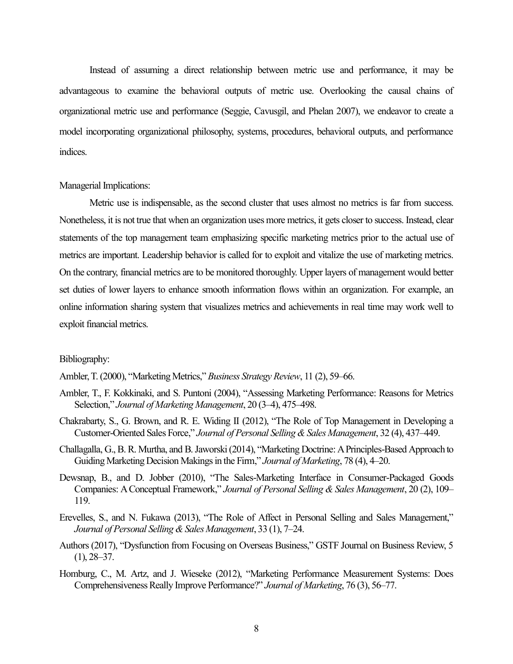Instead of assuming a direct relationship between metric use and performance, it may be advantageous to examine the behavioral outputs of metric use. Overlooking the causal chains of organizational metric use and performance (Seggie, Cavusgil, and Phelan 2007), we endeavor to create a model incorporating organizational philosophy, systems, procedures, behavioral outputs, and performance indices.

## Managerial Implications:

Metric use is indispensable, as the second cluster that uses almost no metrics is far from success. Nonetheless, it is not true that when an organization uses more metrics, it gets closer to success. Instead, clear statements of the top management team emphasizing specific marketing metrics prior to the actual use of metrics are important. Leadership behavior is called for to exploit and vitalize the use of marketing metrics. On the contrary, financial metrics are to be monitored thoroughly. Upper layers of management would better set duties of lower layers to enhance smooth information flows within an organization. For example, an online information sharing system that visualizes metrics and achievements in real time may work well to exploit financial metrics.

#### Bibliography:

Ambler, T. (2000), "Marketing Metrics," *Business Strategy Review*, 11 (2), 59–66.

- Ambler, T., F. Kokkinaki, and S. Puntoni (2004), "Assessing Marketing Performance: Reasons for Metrics Selection," *Journal of Marketing Management*, 20 (3–4), 475–498.
- Chakrabarty, S., G. Brown, and R. E. Widing II (2012), "The Role of Top Management in Developing a Customer-Oriented Sales Force," *Journal of Personal Selling & Sales Management*, 32 (4), 437–449.
- Challagalla, G., B. R. Murtha, and B. Jaworski (2014), "Marketing Doctrine: A Principles-Based Approach to Guiding Marketing Decision Makings in the Firm," *Journal of Marketing*, 78 (4), 4–20.
- Dewsnap, B., and D. Jobber (2010), "The Sales-Marketing Interface in Consumer-Packaged Goods Companies: A Conceptual Framework," *Journal of Personal Selling & Sales Management*, 20 (2), 109– 119.
- Erevelles, S., and N. Fukawa (2013), "The Role of Affect in Personal Selling and Sales Management," *Journal of Personal Selling & Sales Management*, 33 (1), 7–24.
- Authors (2017), "Dysfunction from Focusing on Overseas Business," GSTF Journal on Business Review, 5  $(1), 28 - 37.$
- Homburg, C., M. Artz, and J. Wieseke (2012), "Marketing Performance Measurement Systems: Does Comprehensiveness Really Improve Performance?" *Journal of Marketing*, 76 (3), 56–77.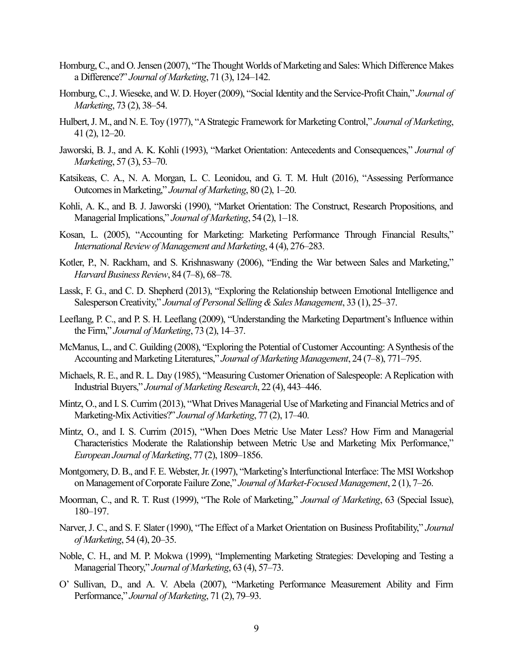- Homburg, C., and O. Jensen (2007), "The Thought Worlds of Marketing and Sales: Which Difference Makes a Difference?" *Journal of Marketing*, 71 (3), 124–142.
- Homburg, C., J. Wieseke, and W. D. Hoyer (2009), "Social Identity and the Service-Profit Chain," *Journal of Marketing*, 73 (2), 38–54.
- Hulbert, J. M., and N. E. Toy (1977), "A Strategic Framework for Marketing Control," *Journal of Marketing*, 41 (2), 12–20.
- Jaworski, B. J., and A. K. Kohli (1993), "Market Orientation: Antecedents and Consequences," *Journal of Marketing*, 57 (3), 53–70.
- Katsikeas, C. A., N. A. Morgan, L. C. Leonidou, and G. T. M. Hult (2016), "Assessing Performance Outcomes in Marketing," *Journal of Marketing*, 80 (2), 1–20.
- Kohli, A. K., and B. J. Jaworski (1990), "Market Orientation: The Construct, Research Propositions, and Managerial Implications," *Journal of Marketing*, 54 (2), 1–18.
- Kosan, L. (2005), "Accounting for Marketing: Marketing Performance Through Financial Results," *International Review of Management and Marketing*, 4 (4), 276–283.
- Kotler, P., N. Rackham, and S. Krishnaswany (2006), "Ending the War between Sales and Marketing," *Harvard Business Review*, 84 (7–8), 68–78.
- Lassk, F. G., and C. D. Shepherd (2013), "Exploring the Relationship between Emotional Intelligence and Salesperson Creativity," *Journal of Personal Selling & Sales Management*, 33 (1), 25–37.
- Leeflang, P. C., and P. S. H. Leeflang (2009), "Understanding the Marketing Department's Influence within the Firm," *Journal of Marketing*, 73 (2), 14–37.
- McManus, L., and C. Guilding (2008), "Exploring the Potential of Customer Accounting: A Synthesis of the Accounting and Marketing Literatures," *Journal of Marketing Management*, 24 (7–8), 771–795.
- Michaels, R. E., and R. L. Day (1985), "Measuring Customer Orienation of Salespeople: A Replication with Industrial Buyers," *Journal of Marketing Research*, 22 (4), 443–446.
- Mintz, O., and I. S. Currim (2013), "What Drives Managerial Use of Marketing and Financial Metrics and of Marketing-Mix Activities?" *Journal of Marketing*, 77 (2), 17–40.
- Mintz, O., and I. S. Currim (2015), "When Does Metric Use Mater Less? How Firm and Managerial Characteristics Moderate the Ralationship between Metric Use and Marketing Mix Performance," *European Journal of Marketing*, 77 (2), 1809–1856.
- Montgomery, D. B., and F. E. Webster, Jr. (1997), "Marketing's Interfunctional Interface: The MSI Workshop on Management of Corporate Failure Zone," *Journal of Market-Focused Management*, 2 (1), 7–26.
- Moorman, C., and R. T. Rust (1999), "The Role of Marketing," *Journal of Marketing*, 63 (Special Issue), 180–197.
- Narver, J. C., and S. F. Slater (1990), "The Effect of a Market Orientation on Business Profitability," *Journal of Marketing*, 54 (4), 20–35.
- Noble, C. H., and M. P. Mokwa (1999), "Implementing Marketing Strategies: Developing and Testing a Managerial Theory," *Journal of Marketing*, 63 (4), 57–73.
- O' Sullivan, D., and A. V. Abela (2007), "Marketing Performance Measurement Ability and Firm Performance," *Journal of Marketing*, 71 (2), 79–93.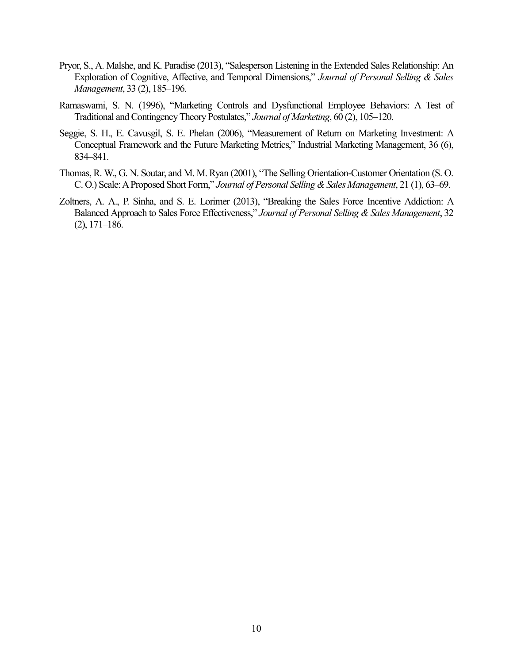- Pryor, S., A. Malshe, and K. Paradise (2013), "Salesperson Listening in the Extended Sales Relationship: An Exploration of Cognitive, Affective, and Temporal Dimensions," *Journal of Personal Selling & Sales Management*, 33 (2), 185–196.
- Ramaswami, S. N. (1996), "Marketing Controls and Dysfunctional Employee Behaviors: A Test of Traditional and Contingency Theory Postulates," *Journal of Marketing*, 60 (2), 105–120.
- Seggie, S. H., E. Cavusgil, S. E. Phelan (2006), "Measurement of Return on Marketing Investment: A Conceptual Framework and the Future Marketing Metrics," Industrial Marketing Management, 36 (6), 834–841.
- Thomas, R. W., G. N. Soutar, and M. M. Ryan (2001), "The Selling Orientation-Customer Orientation (S. O. C. O.) Scale: A Proposed Short Form," *Journal of Personal Selling & Sales Management*, 21 (1), 63–69.
- Zoltners, A. A., P. Sinha, and S. E. Lorimer (2013), "Breaking the Sales Force Incentive Addiction: A Balanced Approach to Sales Force Effectiveness," *Journal of Personal Selling & Sales Management*, 32 (2), 171–186.